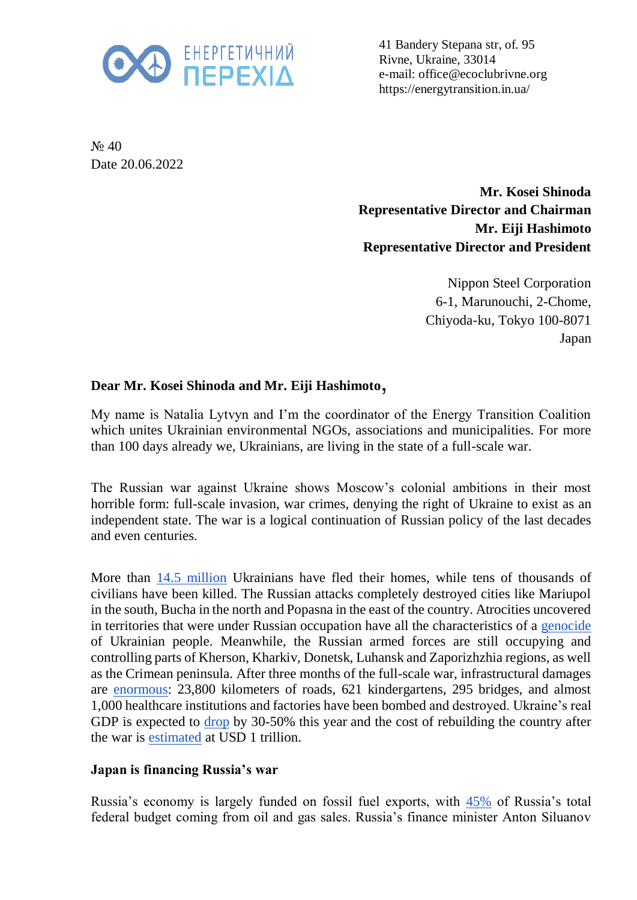

41 Bandery Stepana str, of. 95 Rivne, Ukraine, 33014 e-mail: office@ecoclubrivne.org https://energytransition.in.ua/

N<sub>o</sub> 40 Date 20.06.2022

> **Mr. Kosei Shinoda Representative Director and Chairman Mr. Eiji Hashimoto Representative Director and President**

> > Nippon Steel Corporation 6-1, Marunouchi, 2-Chome, Chiyoda-ku, Tokyo 100-8071 Japan

## **Dear Mr. Kosei Shinoda and Mr. Eiji Hashimoto** ,

My name is Natalia Lytvyn and I'm the coordinator of the Energy Transition Coalition which unites Ukrainian environmental NGOs, associations and municipalities. For more than 100 days already we, Ukrainians, are living in the state of a full-scale war.

The Russian war against Ukraine shows Moscow's colonial ambitions in their most horrible form: full-scale invasion, war crimes, denying the right of Ukraine to exist as an independent state. The war is a logical continuation of Russian policy of the last decades and even centuries.

More than [14.5 million](https://data.unhcr.org/en/situations/ukraine) Ukrainians have fled their homes, while tens of thousands of civilians have been killed. The Russian attacks completely destroyed cities like Mariupol in the south, Bucha in the north and Popasna in the east of the country. Atrocities uncovered in territories that were under Russian occupation have all the characteristics of a [genocide](https://newlinesinstitute.org/russia/an-independent-legal-analysis-of-the-russian-federations-breaches-of-the-genocide-convention-in-ukraine-and-the-duty-to-prevent/) of Ukrainian people. Meanwhile, the Russian armed forces are still occupying and controlling parts of Kherson, Kharkiv, Donetsk, Luhansk and Zaporizhzhia regions, as well as the Crimean peninsula. After three months of the full-scale war, infrastructural damages are [enormous:](https://kse.ua/about-the-school/news/direct-damage-caused-to-ukraine-s-infrastructure-during-the-war-has-reached-over-105-5-billion/) 23,800 kilometers of roads, 621 kindergartens, 295 bridges, and almost 1,000 healthcare institutions and factories have been bombed and destroyed. Ukraine's real GDP is expected to [drop](https://www.reuters.com/business/ukraine-finance-minister-forecasts-45-gdp-drop-committed-servicing-debt-2022-05-11/) by 30-50% this year and the cost of rebuilding the country after the war is [estimated](https://voxeu.org/content/blueprint-reconstruction-ukraine) at USD 1 trillion.

## **Japan is financing Russia's war**

Russia's economy is largely funded on fossil fuel exports, with [45%](https://www.iea.org/articles/energy-fact-sheet-why-does-russian-oil-and-gas-matter) of Russia's total federal budget coming from oil and gas sales. Russia's finance minister Anton Siluanov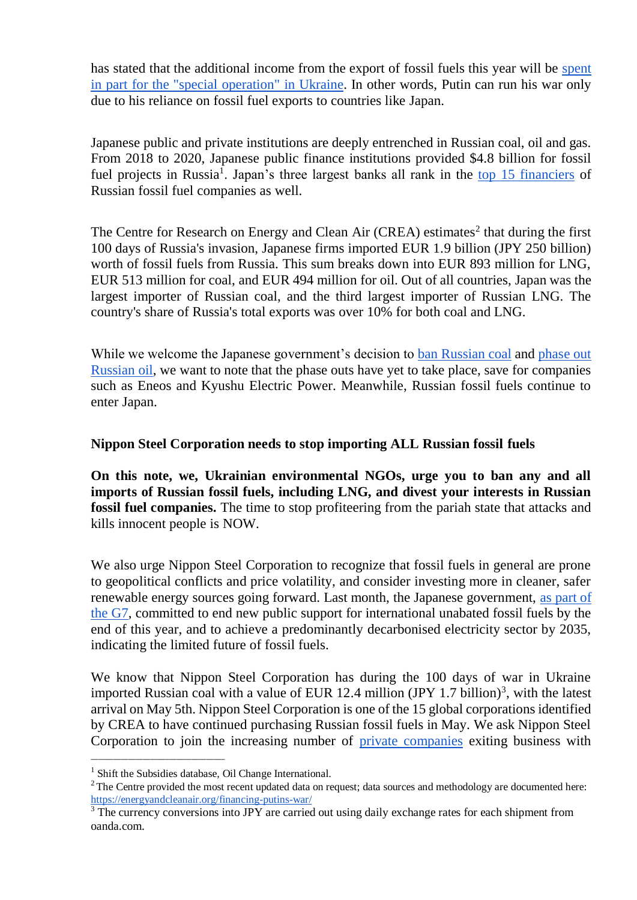has stated that the additional income from the export of fossil fuels this year will be [spent](https://www.tagesschau.de/newsticker/liveblog-ukraine-samstag-141.html#Mehreinnahmen)  [in part for the "special operation"](https://www.tagesschau.de/newsticker/liveblog-ukraine-samstag-141.html#Mehreinnahmen) in Ukraine. In other words, Putin can run his war only due to his reliance on fossil fuel exports to countries like Japan.

Japanese public and private institutions are deeply entrenched in Russian coal, oil and gas. From 2018 to 2020, Japanese public finance institutions provided \$4.8 billion for fossil fuel projects in Russia<sup>1</sup>. Japan's three largest banks all rank in the [top 15 financiers](https://putin100.org/) of Russian fossil fuel companies as well.

The Centre for Research on Energy and Clean Air (CREA) estimates<sup>2</sup> that during the first 100 days of Russia's invasion, Japanese firms imported EUR 1.9 billion (JPY 250 billion) worth of fossil fuels from Russia. This sum breaks down into EUR 893 million for LNG, EUR 513 million for coal, and EUR 494 million for oil. Out of all countries, Japan was the largest importer of Russian coal, and the third largest importer of Russian LNG. The country's share of Russia's total exports was over 10% for both coal and LNG.

While we welcome the Japanese government's decision to [ban Russian coal](https://www.spglobal.com/commodityinsights/en/market-insights/latest-news/oil/040822-japan-to-phase-out-russian-coal-imports-with-eye-to-suspend-it-on-g7-pledge-minister) and phase out [Russian oil,](https://www.reuters.com/world/europe/biden-meets-with-g7-leaders-ukraines-zelenskiy-discuss-war-2022-05-08/) we want to note that the phase outs have yet to take place, save for companies such as Eneos and Kyushu Electric Power. Meanwhile, Russian fossil fuels continue to enter Japan.

## **Nippon Steel Corporation needs to stop importing ALL Russian fossil fuels**

**On this note, we, Ukrainian environmental NGOs, urge you to ban any and all imports of Russian fossil fuels, including LNG, and divest your interests in Russian fossil fuel companies.** The time to stop profiteering from the pariah state that attacks and kills innocent people is NOW.

We also urge Nippon Steel Corporation to recognize that fossil fuels in general are prone to geopolitical conflicts and price volatility, and consider investing more in cleaner, safer renewable energy sources going forward. Last month, the Japanese government, [as part of](https://www.env.go.jp/press/files/jp/118111.pdf)  [the G7,](https://www.env.go.jp/press/files/jp/118111.pdf) committed to end new public support for international unabated fossil fuels by the end of this year, and to achieve a predominantly decarbonised electricity sector by 2035, indicating the limited future of fossil fuels.

We know that Nippon Steel Corporation has during the 100 days of war in Ukraine imported Russian coal with a value of EUR 12.4 million (JPY 1.7 billion)<sup>3</sup>, with the latest arrival on May 5th. Nippon Steel Corporation is one of the 15 global corporations identified by CREA to have continued purchasing Russian fossil fuels in May. We ask Nippon Steel Corporation to join the increasing number of [private companies](https://www.nytimes.com/article/russia-invasion-companies.html) exiting business with

\_\_\_\_\_\_\_\_\_\_\_\_\_\_\_\_\_\_\_\_\_\_\_\_\_\_\_\_\_\_\_\_\_\_\_\_

<sup>&</sup>lt;sup>1</sup> Shift the Subsidies database, Oil Change International.

 $2^2$ The Centre provided the most recent updated data on request; data sources and methodology are documented here: <https://energyandcleanair.org/financing-putins-war/>

<sup>&</sup>lt;sup>3</sup> The currency conversions into JPY are carried out using daily exchange rates for each shipment from oanda.com.